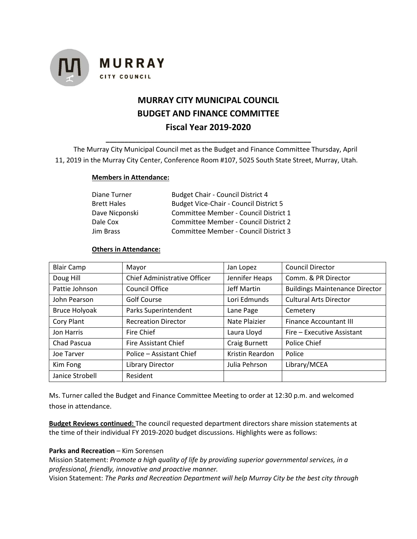

# **MURRAY CITY MUNICIPAL COUNCIL BUDGET AND FINANCE COMMITTEE Fiscal Year 2019-2020**

The Murray City Municipal Council met as the Budget and Finance Committee Thursday, April 11, 2019 in the Murray City Center, Conference Room #107, 5025 South State Street, Murray, Utah.

**\_\_\_\_\_\_\_\_\_\_\_\_\_\_\_\_\_\_\_\_\_\_\_\_\_\_\_\_\_\_\_\_\_\_\_\_\_\_\_\_\_\_\_\_\_\_\_\_\_\_\_\_\_\_\_**

#### **Members in Attendance:**

| Diane Turner   | <b>Budget Chair - Council District 4</b>      |
|----------------|-----------------------------------------------|
| Brett Hales    | <b>Budget Vice-Chair - Council District 5</b> |
| Dave Nicponski | Committee Member - Council District 1         |
| Dale Cox       | Committee Member - Council District 2         |
| Jim Brass      | Committee Member - Council District 3         |

#### **Others in Attendance:**

| <b>Blair Camp</b>    | Mayor                        | Jan Lopez          | <b>Council Director</b>               |
|----------------------|------------------------------|--------------------|---------------------------------------|
| Doug Hill            | Chief Administrative Officer | Jennifer Heaps     | Comm. & PR Director                   |
| Pattie Johnson       | Council Office               | <b>Jeff Martin</b> | <b>Buildings Maintenance Director</b> |
| John Pearson         | Golf Course                  | Lori Edmunds       | <b>Cultural Arts Director</b>         |
| <b>Bruce Holyoak</b> | Parks Superintendent         | Lane Page          | Cemetery                              |
| Cory Plant           | <b>Recreation Director</b>   | Nate Plaizier      | <b>Finance Accountant III</b>         |
| Jon Harris           | Fire Chief                   | Laura Lloyd        | Fire – Executive Assistant            |
| Chad Pascua          | <b>Fire Assistant Chief</b>  | Craig Burnett      | Police Chief                          |
| Joe Tarver           | Police - Assistant Chief     | Kristin Reardon    | Police                                |
| Kim Fong             | Library Director             | Julia Pehrson      | Library/MCEA                          |
| Janice Strobell      | Resident                     |                    |                                       |

Ms. Turner called the Budget and Finance Committee Meeting to order at 12:30 p.m. and welcomed those in attendance.

**Budget Reviews continued:** The council requested department directors share mission statements at the time of their individual FY 2019-2020 budget discussions. Highlights were as follows:

## **Parks and Recreation** – Kim Sorensen

Mission Statement: *Promote a high quality of life by providing superior governmental services, in a professional, friendly, innovative and proactive manner.*

Vision Statement: *The Parks and Recreation Department will help Murray City be the best city through*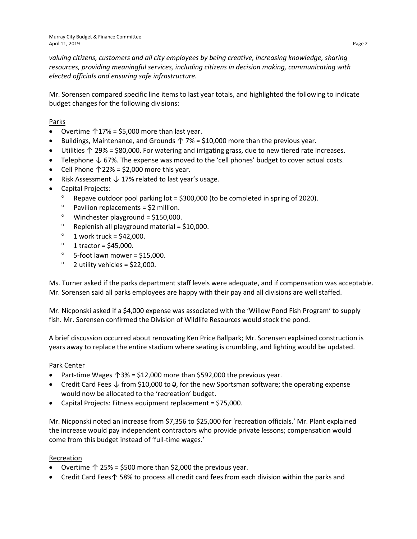*valuing citizens, customers and all city employees by being creative, increasing knowledge, sharing resources, providing meaningful services, including citizens in decision making, communicating with elected officials and ensuring safe infrastructure.*

Mr. Sorensen compared specific line items to last year totals, and highlighted the following to indicate budget changes for the following divisions:

# Parks

- Overtime  $\uparrow$  17% = \$5,000 more than last year.
- Buildings, Maintenance, and Grounds  $\uparrow$  7% = \$10,000 more than the previous year.
- Utilities ↑ 29% = \$80,000. For watering and irrigating grass, due to new tiered rate increases.
- Telephone ↓ 67%. The expense was moved to the 'cell phones' budget to cover actual costs.
- Cell Phone  $\uparrow$  22% = \$2,000 more this year.
- Risk Assessment ↓ 17% related to last year's usage.
- Capital Projects:
	- Repave outdoor pool parking lot = \$300,000 (to be completed in spring of 2020).
	- $°$  Pavilion replacements = \$2 million.
	- $^{\circ}$  Winchester playground = \$150,000.
	- $^{\circ}$  Replenish all playground material = \$10,000.
	- $\degree$  1 work truck = \$42,000.
	- $^{\circ}$  1 tractor = \$45,000.
	- $\degree$  5-foot lawn mower = \$15,000.
	- $\degree$  2 utility vehicles = \$22,000.

Ms. Turner asked if the parks department staff levels were adequate, and if compensation was acceptable. Mr. Sorensen said all parks employees are happy with their pay and all divisions are well staffed.

Mr. Nicponski asked if a \$4,000 expense was associated with the 'Willow Pond Fish Program' to supply fish. Mr. Sorensen confirmed the Division of Wildlife Resources would stock the pond.

A brief discussion occurred about renovating Ken Price Ballpark; Mr. Sorensen explained construction is years away to replace the entire stadium where seating is crumbling, and lighting would be updated.

#### Park Center

- Part-time Wages ↑3% = \$12,000 more than \$592,000 the previous year.
- Credit Card Fees  $\downarrow$  from \$10,000 to  $\theta$ , for the new Sportsman software; the operating expense would now be allocated to the 'recreation' budget.
- Capital Projects: Fitness equipment replacement = \$75,000.

Mr. Nicponski noted an increase from \$7,356 to \$25,000 for 'recreation officials.' Mr. Plant explained the increase would pay independent contractors who provide private lessons; compensation would come from this budget instead of 'full-time wages.'

#### Recreation

- Overtime  $\uparrow$  25% = \$500 more than \$2,000 the previous year.
- Credit Card Fees↑ 58% to process all credit card fees from each division within the parks and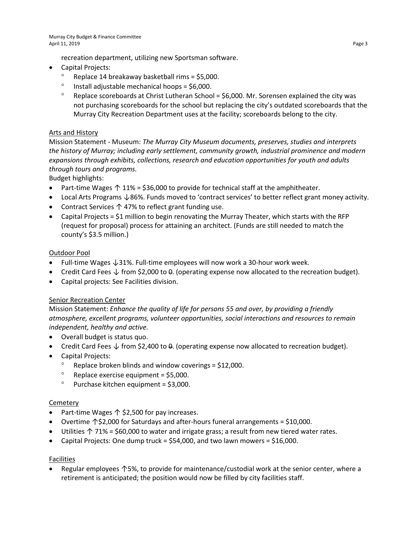recreation department, utilizing new Sportsman software.

- Capital Projects:
	- ° Replace 14 breakaway basketball rims = \$5,000.
	- $^{\circ}$  Install adjustable mechanical hoops = \$6,000.
	- ° Replace scoreboards at Christ Lutheran School = \$6,000. Mr. Sorensen explained the city was not purchasing scoreboards for the school but replacing the city's outdated scoreboards that the Murray City Recreation Department uses at the facility; scoreboards belong to the city.

# Arts and History

Mission Statement - Museum: *The Murray City Museum documents, preserves, studies and interprets the history of Murray; including early settlement, community growth, industrial prominence and modern expansions through exhibits, collections, research and education opportunities for youth and adults through tours and programs.* 

Budget highlights:

- Part-time Wages  $\uparrow$  11% = \$36,000 to provide for technical staff at the amphitheater.
- Local Arts Programs ↓86%. Funds moved to 'contract services' to better reflect grant money activity.
- Contract Services ↑ 47% to reflect grant funding use.
- Capital Projects = \$1 million to begin renovating the Murray Theater, which starts with the RFP (request for proposal) process for attaining an architect. (Funds are still needed to match the county's \$3.5 million.)

## Outdoor Pool

- Full-time Wages ↓31%. Full-time employees will now work a 30-hour work week.
- Credit Card Fees  $\downarrow$  from \$2,000 to  $\theta$ . (operating expense now allocated to the recreation budget).
- Capital projects: See Facilities division.

## Senior Recreation Center

Mission Statement: *Enhance the quality of life for persons 55 and over, by providing a friendly atmosphere, excellent programs, volunteer opportunities, social interactions and resources to remain independent, healthy and active.*

- Overall budget is status quo.
- Credit Card Fees  $\downarrow$  from \$2,400 to  $\theta$ . (operating expense now allocated to recreation budget).
- Capital Projects:
	- Replace broken blinds and window coverings = \$12,000.
	- $^{\circ}$  Replace exercise equipment = \$5,000.
	- $^{\circ}$  Purchase kitchen equipment = \$3,000.

#### **Cemetery**

- Part-time Wages ↑ \$2,500 for pay increases.
- Overtime ↑\$2,000 for Saturdays and after-hours funeral arrangements = \$10,000.
- Utilities ↑ 71% = \$60,000 to water and irrigate grass; a result from new tiered water rates.
- Capital Projects: One dump truck =  $$54,000$ , and two lawn mowers =  $$16,000$ .

## Facilities

• Regular employees ↑5%, to provide for maintenance/custodial work at the senior center, where a retirement is anticipated; the position would now be filled by city facilities staff.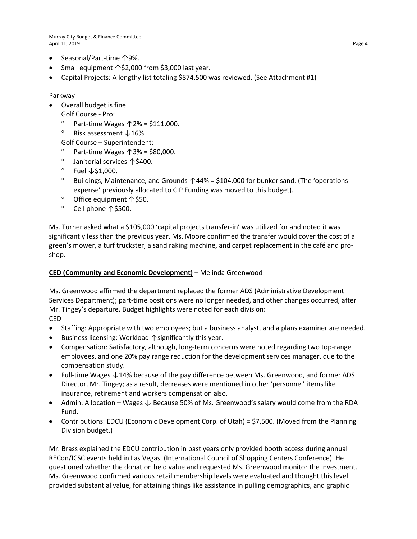Murray City Budget & Finance Committee April 11, 2019 Page 4

- Seasonal/Part-time ↑9%.
- Small equipment ↑\$2,000 from \$3,000 last year.
- Capital Projects: A lengthy list totaling \$874,500 was reviewed. (See Attachment #1)

## Parkway

- Overall budget is fine.
	- Golf Course Pro:
	- ° Part-time Wages ↑2% = \$111,000.
	- ° Risk assessment ↓16%.
	- Golf Course Superintendent:
	- ° Part-time Wages ↑3% = \$80,000.
	- ° Janitorial services ↑\$400.
	- ° Fuel ↓\$1,000.
	- ° Buildings, Maintenance, and Grounds ↑44% = \$104,000 for bunker sand. (The 'operations expense' previously allocated to CIP Funding was moved to this budget).
	- ° Office equipment ↑\$50.
	- ° Cell phone ↑\$500.

Ms. Turner asked what a \$105,000 'capital projects transfer-in' was utilized for and noted it was significantly less than the previous year. Ms. Moore confirmed the transfer would cover the cost of a green's mower, a turf truckster, a sand raking machine, and carpet replacement in the café and proshop.

## **CED (Community and Economic Development)** – Melinda Greenwood

Ms. Greenwood affirmed the department replaced the former ADS (Administrative Development Services Department); part-time positions were no longer needed, and other changes occurred, after Mr. Tingey's departure. Budget highlights were noted for each division:

CED

- Staffing: Appropriate with two employees; but a business analyst, and a plans examiner are needed.
- Business licensing: Workload ↑significantly this year.
- Compensation: Satisfactory, although, long-term concerns were noted regarding two top-range employees, and one 20% pay range reduction for the development services manager, due to the compensation study.
- Full-time Wages ↓14% because of the pay difference between Ms. Greenwood, and former ADS Director, Mr. Tingey; as a result, decreases were mentioned in other 'personnel' items like insurance, retirement and workers compensation also.
- Admin. Allocation Wages ↓ Because 50% of Ms. Greenwood's salary would come from the RDA Fund.
- Contributions: EDCU (Economic Development Corp. of Utah) = \$7,500. (Moved from the Planning Division budget.)

Mr. Brass explained the EDCU contribution in past years only provided booth access during annual RECon/ICSC events held in Las Vegas. (International Council of Shopping Centers Conference). He questioned whether the donation held value and requested Ms. Greenwood monitor the investment. Ms. Greenwood confirmed various retail membership levels were evaluated and thought this level provided substantial value, for attaining things like assistance in pulling demographics, and graphic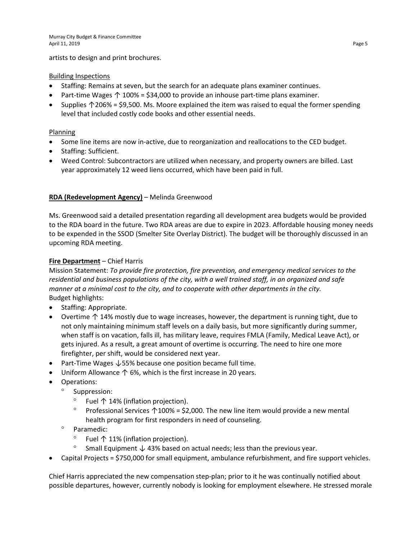artists to design and print brochures.

## Building Inspections

- Staffing: Remains at seven, but the search for an adequate plans examiner continues.
- Part-time Wages  $\uparrow$  100% = \$34,000 to provide an inhouse part-time plans examiner.
- Supplies ↑206% = \$9,500. Ms. Moore explained the item was raised to equal the former spending level that included costly code books and other essential needs.

# Planning

- Some line items are now in-active, due to reorganization and reallocations to the CED budget.
- Staffing: Sufficient.
- Weed Control: Subcontractors are utilized when necessary, and property owners are billed. Last year approximately 12 weed liens occurred, which have been paid in full.

# **RDA (Redevelopment Agency)** – Melinda Greenwood

Ms. Greenwood said a detailed presentation regarding all development area budgets would be provided to the RDA board in the future. Two RDA areas are due to expire in 2023. Affordable housing money needs to be expended in the SSOD (Smelter Site Overlay District). The budget will be thoroughly discussed in an upcoming RDA meeting.

# **Fire Department** – Chief Harris

Mission Statement: *To provide fire protection, fire prevention, and emergency medical services to the residential and business populations of the city, with a well trained staff, in an organized and safe manner at a minimal cost to the city, and to cooperate with other departments in the city.* Budget highlights:

- Staffing: Appropriate.
- Overtime ↑ 14% mostly due to wage increases, however, the department is running tight, due to not only maintaining minimum staff levels on a daily basis, but more significantly during summer, when staff is on vacation, falls ill, has military leave, requires FMLA (Family, Medical Leave Act), or gets injured. As a result, a great amount of overtime is occurring. The need to hire one more firefighter, per shift, would be considered next year.
- Part-Time Wages ↓55% because one position became full time.
- Uniform Allowance ↑ 6%, which is the first increase in 20 years.
- Operations:
	- ° Suppression:
		- ° Fuel ↑ 14% (inflation projection).
		- Professional Services ↑100% = \$2,000. The new line item would provide a new mental health program for first responders in need of counseling.
	- ° Paramedic:
		- Fuel  $\uparrow$  11% (inflation projection).
		- ° Small Equipment ↓ 43% based on actual needs; less than the previous year.
- Capital Projects = \$750,000 for small equipment, ambulance refurbishment, and fire support vehicles.

Chief Harris appreciated the new compensation step-plan; prior to it he was continually notified about possible departures, however, currently nobody is looking for employment elsewhere. He stressed morale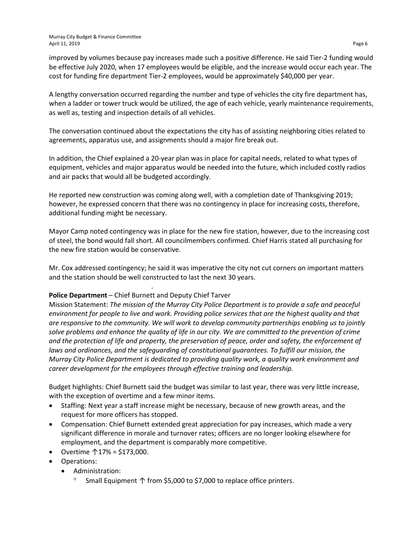improved by volumes because pay increases made such a positive difference. He said Tier-2 funding would be effective July 2020, when 17 employees would be eligible, and the increase would occur each year. The cost for funding fire department Tier-2 employees, would be approximately \$40,000 per year.

A lengthy conversation occurred regarding the number and type of vehicles the city fire department has, when a ladder or tower truck would be utilized, the age of each vehicle, yearly maintenance requirements, as well as, testing and inspection details of all vehicles.

The conversation continued about the expectations the city has of assisting neighboring cities related to agreements, apparatus use, and assignments should a major fire break out.

In addition, the Chief explained a 20-year plan was in place for capital needs, related to what types of equipment, vehicles and major apparatus would be needed into the future, which included costly radios and air packs that would all be budgeted accordingly.

He reported new construction was coming along well, with a completion date of Thanksgiving 2019; however, he expressed concern that there was no contingency in place for increasing costs, therefore, additional funding might be necessary.

Mayor Camp noted contingency was in place for the new fire station, however, due to the increasing cost of steel, the bond would fall short. All councilmembers confirmed. Chief Harris stated all purchasing for the new fire station would be conservative.

Mr. Cox addressed contingency; he said it was imperative the city not cut corners on important matters and the station should be well constructed to last the next 30 years.

the contract of the contract of the contract of the contract of

# **Police Department** – Chief Burnett and Deputy Chief Tarver

Mission Statement: *The mission of the Murray City Police Department is to provide a safe and peaceful environment for people to live and work. Providing police services that are the highest quality and that are responsive to the community. We will work to develop community partnerships enabling us to jointly solve problems and enhance the quality of life in our city. We are committed to the prevention of crime and the protection of life and property, the preservation of peace, order and safety, the enforcement of laws and ordinances, and the safeguarding of constitutional guarantees. To fulfill our mission, the Murray City Police Department is dedicated to providing quality work, a quality work environment and career development for the employees through effective training and leadership.* 

Budget highlights: Chief Burnett said the budget was similar to last year, there was very little increase, with the exception of overtime and a few minor items.

- Staffing: Next year a staff increase might be necessary, because of new growth areas, and the request for more officers has stopped.
- Compensation: Chief Burnett extended great appreciation for pay increases, which made a very significant difference in morale and turnover rates; officers are no longer looking elsewhere for employment, and the department is comparably more competitive.
- Overtime ↑17% = \$173,000.
- Operations:
	- Administration:
		- Small Equipment ↑ from \$5,000 to \$7,000 to replace office printers.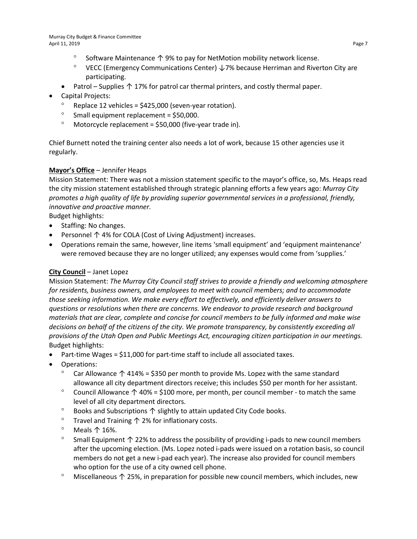- ° Software Maintenance ↑ 9% to pay for NetMotion mobility network license.
- ° VECC (Emergency Communications Center)  $\downarrow$  7% because Herriman and Riverton City are participating.
- Patrol Supplies ↑ 17% for patrol car thermal printers, and costly thermal paper.
- Capital Projects:
	- Replace 12 vehicles = \$425,000 (seven-year rotation).
	- ° Small equipment replacement = \$50,000.
	- $^{\circ}$  Motorcycle replacement = \$50,000 (five-year trade in).

Chief Burnett noted the training center also needs a lot of work, because 15 other agencies use it regularly.

# **Mayor's Office** – Jennifer Heaps

Mission Statement: There was not a mission statement specific to the mayor's office, so, Ms. Heaps read the city mission statement established through strategic planning efforts a few years ago: *Murray City promotes a high quality of life by providing superior governmental services in a professional, friendly, innovative and proactive manner.* 

Budget highlights:

- Staffing: No changes.
- Personnel ↑ 4% for COLA (Cost of Living Adjustment) increases.
- Operations remain the same, however, line items 'small equipment' and 'equipment maintenance' were removed because they are no longer utilized; any expenses would come from 'supplies.'

# **City Council** – Janet Lopez

Mission Statement: *The Murray City Council staff strives to provide a friendly and welcoming atmosphere for residents, business owners, and employees to meet with council members; and to accommodate those seeking information. We make every effort to effectively, and efficiently deliver answers to questions or resolutions when there are concerns. We endeavor to provide research and background materials that are clear, complete and concise for council members to be fully informed and make wise decisions on behalf of the citizens of the city. We promote transparency, by consistently exceeding all provisions of the Utah Open and Public Meetings Act, encouraging citizen participation in our meetings.* Budget highlights:

- Part-time Wages = \$11,000 for part-time staff to include all associated taxes.
- Operations:
	- Car Allowance  $\uparrow$  414% = \$350 per month to provide Ms. Lopez with the same standard allowance all city department directors receive; this includes \$50 per month for her assistant.
	- ° Council Allowance ↑ 40% = \$100 more, per month, per council member to match the same level of all city department directors.
	- ° Books and Subscriptions ↑ slightly to attain updated City Code books.
	- ° Travel and Training ↑ 2% for inflationary costs.
	- ° Meals ↑ 16%.
	- ° Small Equipment ↑ 22% to address the possibility of providing i-pads to new council members after the upcoming election. (Ms. Lopez noted i-pads were issued on a rotation basis, so council members do not get a new i-pad each year). The increase also provided for council members who option for the use of a city owned cell phone.
	- ° Miscellaneous ↑ 25%, in preparation for possible new council members, which includes, new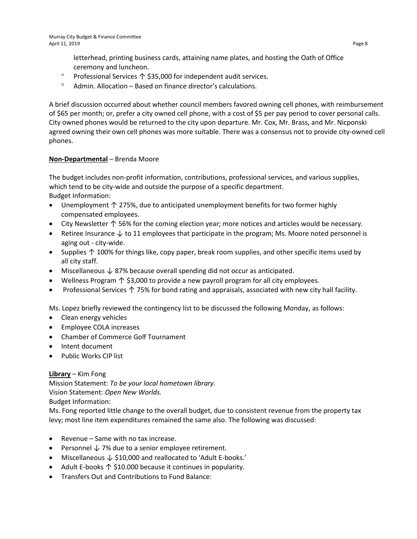letterhead, printing business cards, attaining name plates, and hosting the Oath of Office ceremony and luncheon.

- ° Professional Services ↑ \$35,000 for independent audit services.
- ° Admin. Allocation Based on finance director's calculations.

A brief discussion occurred about whether council members favored owning cell phones, with reimbursement of \$65 per month; or, prefer a city owned cell phone, with a cost of \$5 per pay period to cover personal calls. City owned phones would be returned to the city upon departure. Mr. Cox, Mr. Brass, and Mr. Nicponski agreed owning their own cell phones was more suitable. There was a consensus not to provide city-owned cell phones.

## **Non-Departmental** – Brenda Moore

The budget includes non-profit information, contributions, professional services, and various supplies, which tend to be city-wide and outside the purpose of a specific department. Budget Information:

- Unemployment ↑ 275%, due to anticipated unemployment benefits for two former highly compensated employees.
- City Newsletter ↑ 56% for the coming election year; more notices and articles would be necessary.
- Retiree Insurance  $\downarrow$  to 11 employees that participate in the program; Ms. Moore noted personnel is aging out - city-wide.
- Supplies ↑ 100% for things like, copy paper, break room supplies, and other specific items used by all city staff.
- Miscellaneous ↓ 87% because overall spending did not occur as anticipated.
- Wellness Program ↑ \$3,000 to provide a new payroll program for all city employees.
- Professional Services ↑ 75% for bond rating and appraisals, associated with new city hall facility.

Ms. Lopez briefly reviewed the contingency list to be discussed the following Monday, as follows:

- Clean energy vehicles
- Employee COLA increases
- Chamber of Commerce Golf Tournament
- Intent document
- Public Works CIP list

## **Library** – Kim Fong

Mission Statement: *To be your local hometown library.* Vision Statement: *Open New Worlds.*

Budget Information:

Ms. Fong reported little change to the overall budget, due to consistent revenue from the property tax levy; most line item expenditures remained the same also. The following was discussed:

- Revenue Same with no tax increase.
- Personnel  $\sqrt{ }$  7% due to a senior employee retirement.
- Miscellaneous ↓ \$10,000 and reallocated to 'Adult E-books.'
- Adult E-books ↑ \$10.000 because it continues in popularity.
- Transfers Out and Contributions to Fund Balance: